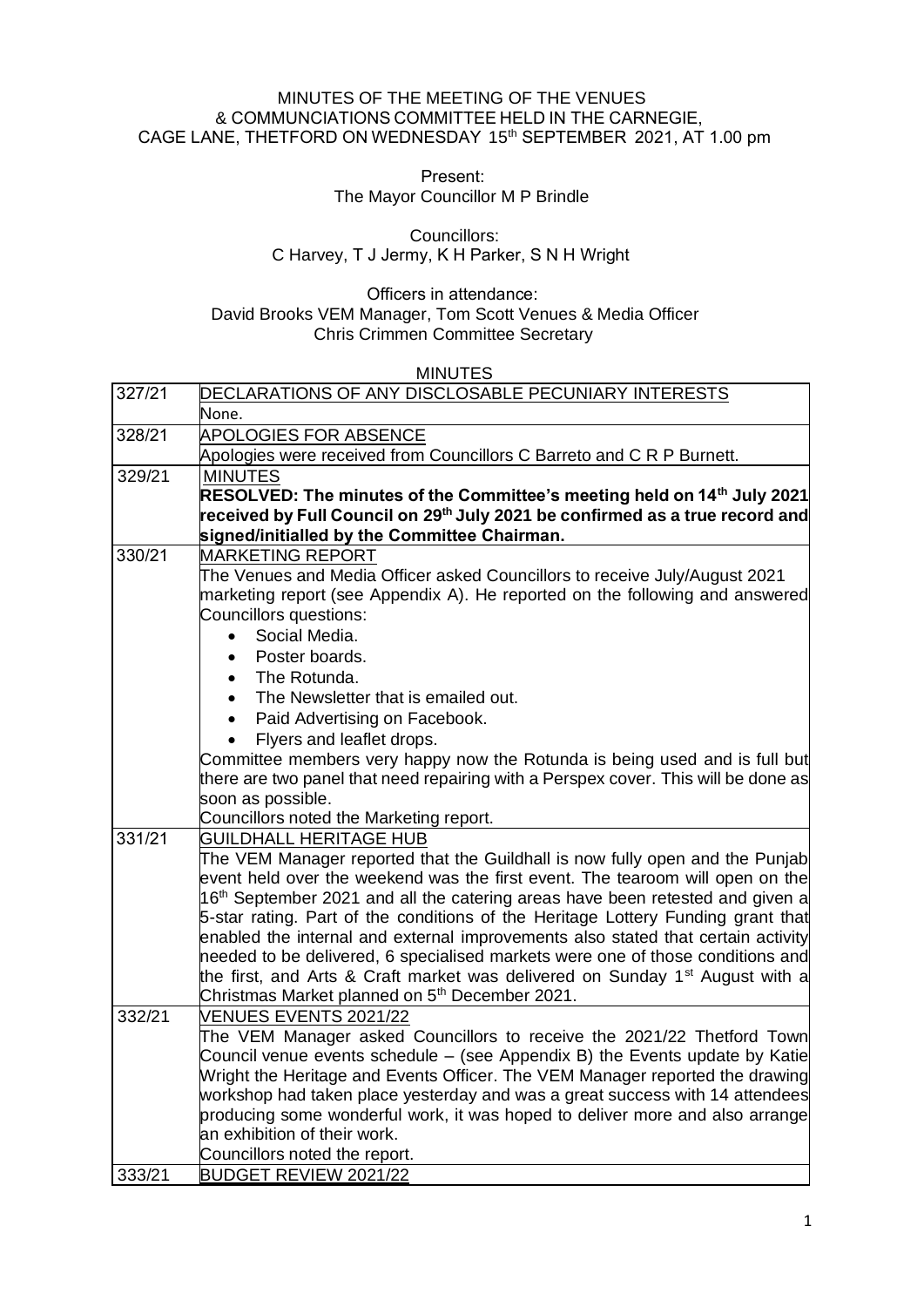## MINUTES OF THE MEETING OF THE VENUES & COMMUNCIATIONS COMMITTEE HELD IN THE CARNEGIE, CAGE LANE, THETFORD ON WEDNESDAY 15<sup>th</sup> SEPTEMBER 2021, AT 1.00 pm

Present:    

The Mayor Councillor M P Brindle

Councillors:    C Harvey, T J Jermy, K H Parker, S N H Wright     

Officers in attendance:     David Brooks VEM Manager, Tom Scott Venues & Media Officer Chris Crimmen Committee Secretary

#### MINUTES

| 327/21 | DECLARATIONS OF ANY DISCLOSABLE PECUNIARY INTERESTS                                              |
|--------|--------------------------------------------------------------------------------------------------|
|        | None.                                                                                            |
| 328/21 | <b>APOLOGIES FOR ABSENCE</b>                                                                     |
|        | Apologies were received from Councillors C Barreto and C R P Burnett.                            |
| 329/21 | <b>MINUTES</b>                                                                                   |
|        | RESOLVED: The minutes of the Committee's meeting held on 14th July 2021                          |
|        | $\,$ received by Full Council on 29 $^{\rm th}$ July 2021 be confirmed as a true record and $\,$ |
|        | signed/initialled by the Committee Chairman.                                                     |
| 330/21 | <b>MARKETING REPORT</b>                                                                          |
|        | The Venues and Media Officer asked Councillors to receive July/August 2021                       |
|        | marketing report (see Appendix A). He reported on the following and answered                     |
|        | Councillors questions:                                                                           |
|        | Social Media.<br>$\bullet$                                                                       |
|        | Poster boards.<br>$\bullet$                                                                      |
|        | The Rotunda.                                                                                     |
|        | The Newsletter that is emailed out.                                                              |
|        | Paid Advertising on Facebook.                                                                    |
|        | Flyers and leaflet drops.                                                                        |
|        | Committee members very happy now the Rotunda is being used and is full but                       |
|        | there are two panel that need repairing with a Perspex cover. This will be done as               |
|        | soon as possible.                                                                                |
|        | Councillors noted the Marketing report.                                                          |
| 331/21 | <b>GUILDHALL HERITAGE HUB</b>                                                                    |
|        | The VEM Manager reported that the Guildhall is now fully open and the Punjab                     |
|        | event held over the weekend was the first event. The tearoom will open on the                    |
|        | 16 <sup>th</sup> September 2021 and all the catering areas have been retested and given a        |
|        | 5-star rating. Part of the conditions of the Heritage Lottery Funding grant that                 |
|        | enabled the internal and external improvements also stated that certain activity                 |
|        | needed to be delivered, 6 specialised markets were one of those conditions and                   |
|        | the first, and Arts & Craft market was delivered on Sunday 1 <sup>st</sup> August with a         |
|        | Christmas Market planned on 5 <sup>th</sup> December 2021.                                       |
| 332/21 | <b>VENUES EVENTS 2021/22</b>                                                                     |
|        | The VEM Manager asked Councillors to receive the 2021/22 Thetford Town                           |
|        | Council venue events schedule - (see Appendix B) the Events update by Katie                      |
|        | Wright the Heritage and Events Officer. The VEM Manager reported the drawing                     |
|        | workshop had taken place yesterday and was a great success with 14 attendees                     |
|        | producing some wonderful work, it was hoped to deliver more and also arrange                     |
|        | an exhibition of their work.                                                                     |
|        | Councillors noted the report.                                                                    |
| 333/21 | <b>BUDGET REVIEW 2021/22</b>                                                                     |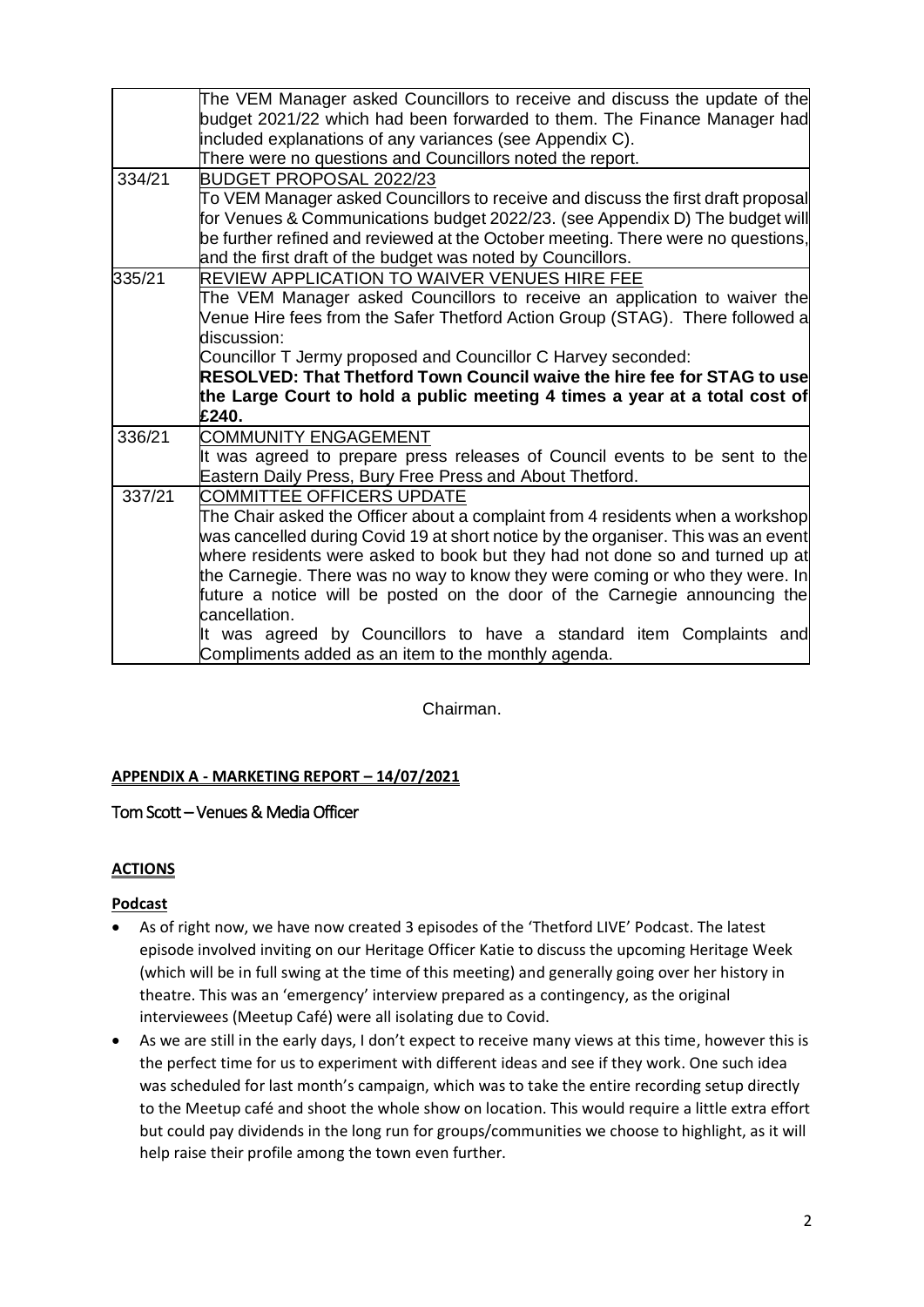|        | The VEM Manager asked Councillors to receive and discuss the update of the        |  |  |  |  |  |  |  |
|--------|-----------------------------------------------------------------------------------|--|--|--|--|--|--|--|
|        | budget 2021/22 which had been forwarded to them. The Finance Manager had          |  |  |  |  |  |  |  |
|        | included explanations of any variances (see Appendix C).                          |  |  |  |  |  |  |  |
|        | There were no questions and Councillors noted the report.                         |  |  |  |  |  |  |  |
| 334/21 | BUDGET PROPOSAL 2022/23                                                           |  |  |  |  |  |  |  |
|        | To VEM Manager asked Councillors to receive and discuss the first draft proposal  |  |  |  |  |  |  |  |
|        | for Venues & Communications budget 2022/23. (see Appendix D) The budget will      |  |  |  |  |  |  |  |
|        | be further refined and reviewed at the October meeting. There were no questions,  |  |  |  |  |  |  |  |
|        | and the first draft of the budget was noted by Councillors.                       |  |  |  |  |  |  |  |
| 335/21 | REVIEW APPLICATION TO WAIVER VENUES HIRE FEE                                      |  |  |  |  |  |  |  |
|        | The VEM Manager asked Councillors to receive an application to waiver the         |  |  |  |  |  |  |  |
|        | Venue Hire fees from the Safer Thetford Action Group (STAG). There followed a     |  |  |  |  |  |  |  |
|        | discussion:                                                                       |  |  |  |  |  |  |  |
|        | Councillor T Jermy proposed and Councillor C Harvey seconded:                     |  |  |  |  |  |  |  |
|        | RESOLVED: That Thetford Town Council waive the hire fee for STAG to use           |  |  |  |  |  |  |  |
|        | the Large Court to hold a public meeting 4 times a year at a total cost of        |  |  |  |  |  |  |  |
|        | £240.                                                                             |  |  |  |  |  |  |  |
| 336/21 | <b>COMMUNITY ENGAGEMENT</b>                                                       |  |  |  |  |  |  |  |
|        | It was agreed to prepare press releases of Council events to be sent to the       |  |  |  |  |  |  |  |
|        | Eastern Daily Press, Bury Free Press and About Thetford.                          |  |  |  |  |  |  |  |
| 337/21 | <b>COMMITTEE OFFICERS UPDATE</b>                                                  |  |  |  |  |  |  |  |
|        | The Chair asked the Officer about a complaint from 4 residents when a workshop    |  |  |  |  |  |  |  |
|        | was cancelled during Covid 19 at short notice by the organiser. This was an event |  |  |  |  |  |  |  |
|        | where residents were asked to book but they had not done so and turned up at      |  |  |  |  |  |  |  |
|        | the Carnegie. There was no way to know they were coming or who they were. In      |  |  |  |  |  |  |  |
|        | future a notice will be posted on the door of the Carnegie announcing the         |  |  |  |  |  |  |  |
|        | cancellation.                                                                     |  |  |  |  |  |  |  |
|        | It was agreed by Councillors to have a standard item Complaints and               |  |  |  |  |  |  |  |
|        | Compliments added as an item to the monthly agenda.                               |  |  |  |  |  |  |  |

Chairman.

## **APPENDIX A - MARKETING REPORT – 14/07/2021**

## Tom Scott – Venues & Media Officer

## **ACTIONS**

## **Podcast**

- As of right now, we have now created 3 episodes of the 'Thetford LIVE' Podcast. The latest episode involved inviting on our Heritage Officer Katie to discuss the upcoming Heritage Week (which will be in full swing at the time of this meeting) and generally going over her history in theatre. This was an 'emergency' interview prepared as a contingency, as the original interviewees (Meetup Café) were all isolating due to Covid.
- As we are still in the early days, I don't expect to receive many views at this time, however this is the perfect time for us to experiment with different ideas and see if they work. One such idea was scheduled for last month's campaign, which was to take the entire recording setup directly to the Meetup café and shoot the whole show on location. This would require a little extra effort but could pay dividends in the long run for groups/communities we choose to highlight, as it will help raise their profile among the town even further.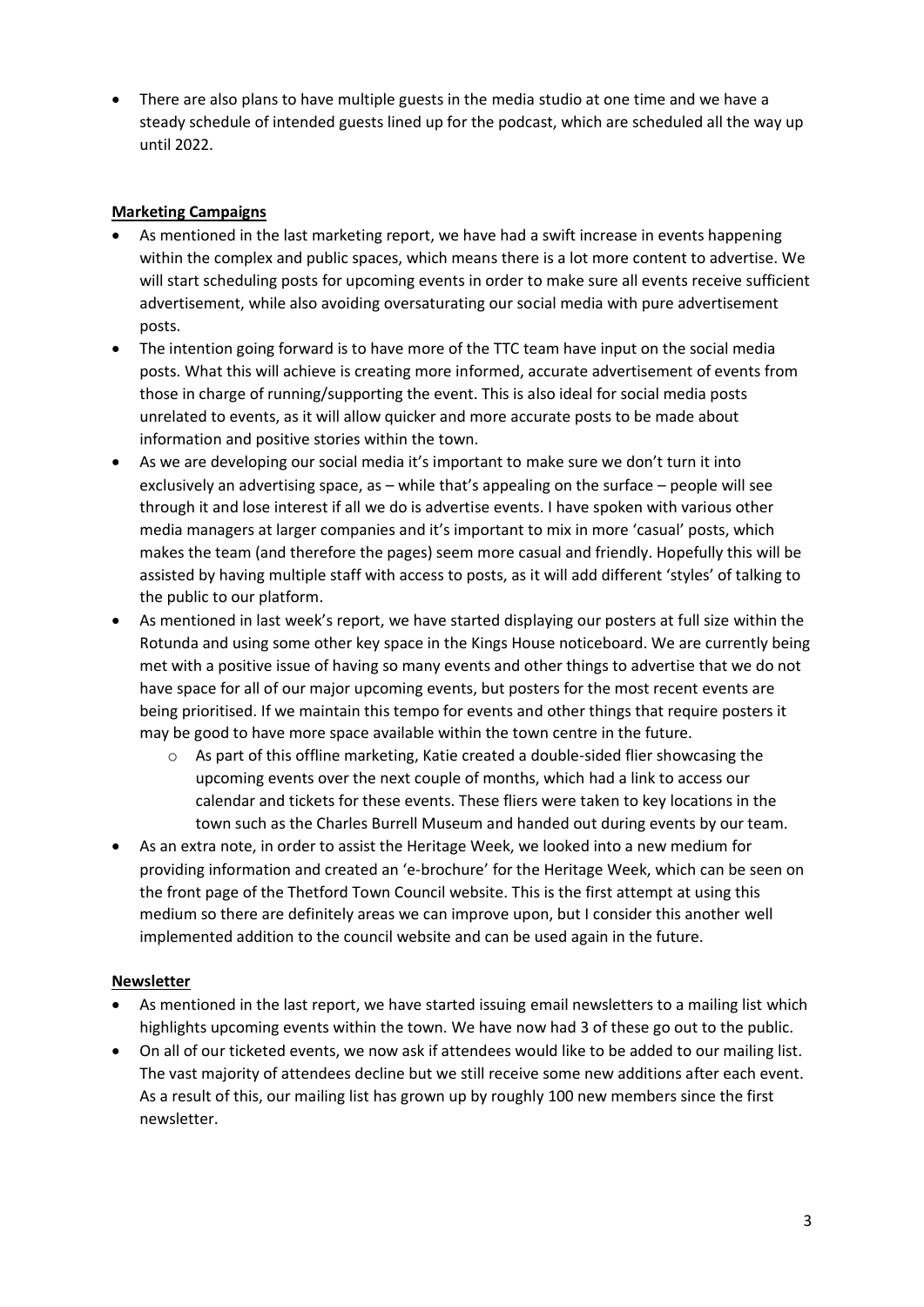• There are also plans to have multiple guests in the media studio at one time and we have a steady schedule of intended guests lined up for the podcast, which are scheduled all the way up until 2022.

## **Marketing Campaigns**

- As mentioned in the last marketing report, we have had a swift increase in events happening within the complex and public spaces, which means there is a lot more content to advertise. We will start scheduling posts for upcoming events in order to make sure all events receive sufficient advertisement, while also avoiding oversaturating our social media with pure advertisement posts.
- The intention going forward is to have more of the TTC team have input on the social media posts. What this will achieve is creating more informed, accurate advertisement of events from those in charge of running/supporting the event. This is also ideal for social media posts unrelated to events, as it will allow quicker and more accurate posts to be made about information and positive stories within the town.
- As we are developing our social media it's important to make sure we don't turn it into exclusively an advertising space, as – while that's appealing on the surface – people will see through it and lose interest if all we do is advertise events. I have spoken with various other media managers at larger companies and it's important to mix in more 'casual' posts, which makes the team (and therefore the pages) seem more casual and friendly. Hopefully this will be assisted by having multiple staff with access to posts, as it will add different 'styles' of talking to the public to our platform.
- As mentioned in last week's report, we have started displaying our posters at full size within the Rotunda and using some other key space in the Kings House noticeboard. We are currently being met with a positive issue of having so many events and other things to advertise that we do not have space for all of our major upcoming events, but posters for the most recent events are being prioritised. If we maintain this tempo for events and other things that require posters it may be good to have more space available within the town centre in the future.
	- o As part of this offline marketing, Katie created a double-sided flier showcasing the upcoming events over the next couple of months, which had a link to access our calendar and tickets for these events. These fliers were taken to key locations in the town such as the Charles Burrell Museum and handed out during events by our team.
- As an extra note, in order to assist the Heritage Week, we looked into a new medium for providing information and created an 'e-brochure' for the Heritage Week, which can be seen on the front page of the Thetford Town Council website. This is the first attempt at using this medium so there are definitely areas we can improve upon, but I consider this another well implemented addition to the council website and can be used again in the future.

## **Newsletter**

- As mentioned in the last report, we have started issuing email newsletters to a mailing list which highlights upcoming events within the town. We have now had 3 of these go out to the public.
- On all of our ticketed events, we now ask if attendees would like to be added to our mailing list. The vast majority of attendees decline but we still receive some new additions after each event. As a result of this, our mailing list has grown up by roughly 100 new members since the first newsletter.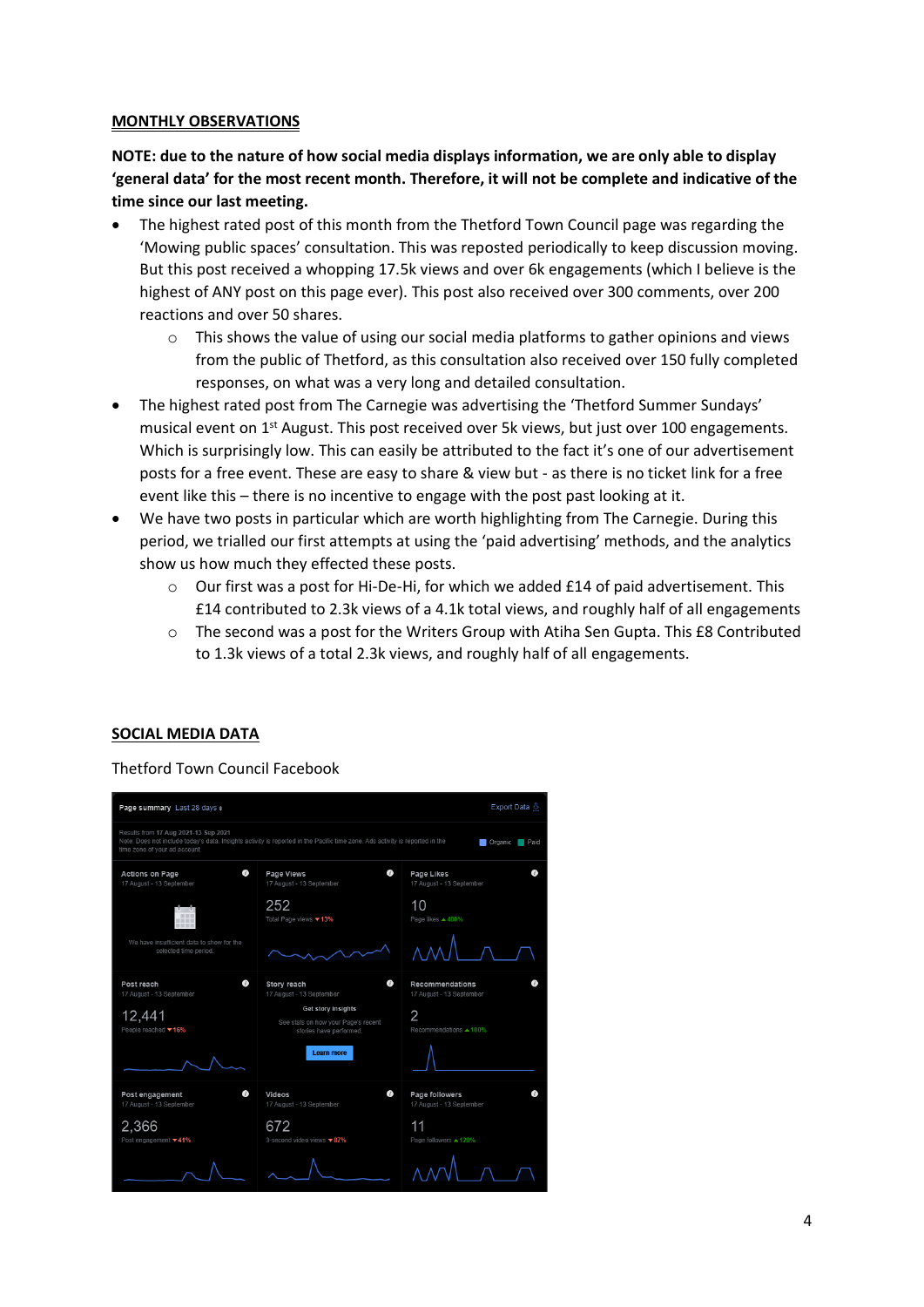#### **MONTHLY OBSERVATIONS**

**NOTE: due to the nature of how social media displays information, we are only able to display 'general data' for the most recent month. Therefore, it will not be complete and indicative of the time since our last meeting.**

- The highest rated post of this month from the Thetford Town Council page was regarding the 'Mowing public spaces' consultation. This was reposted periodically to keep discussion moving. But this post received a whopping 17.5k views and over 6k engagements (which I believe is the highest of ANY post on this page ever). This post also received over 300 comments, over 200 reactions and over 50 shares.
	- $\circ$  This shows the value of using our social media platforms to gather opinions and views from the public of Thetford, as this consultation also received over 150 fully completed responses, on what was a very long and detailed consultation.
- The highest rated post from The Carnegie was advertising the 'Thetford Summer Sundays' musical event on  $1<sup>st</sup>$  August. This post received over 5k views, but just over 100 engagements. Which is surprisingly low. This can easily be attributed to the fact it's one of our advertisement posts for a free event. These are easy to share & view but - as there is no ticket link for a free event like this – there is no incentive to engage with the post past looking at it.
- We have two posts in particular which are worth highlighting from The Carnegie. During this period, we trialled our first attempts at using the 'paid advertising' methods, and the analytics show us how much they effected these posts.
	- o Our first was a post for Hi-De-Hi, for which we added £14 of paid advertisement. This £14 contributed to 2.3k views of a 4.1k total views, and roughly half of all engagements
	- o The second was a post for the Writers Group with Atiha Sen Gupta. This £8 Contributed to 1.3k views of a total 2.3k views, and roughly half of all engagements.

#### **SOCIAL MEDIA DATA**

Thetford Town Council Facebook

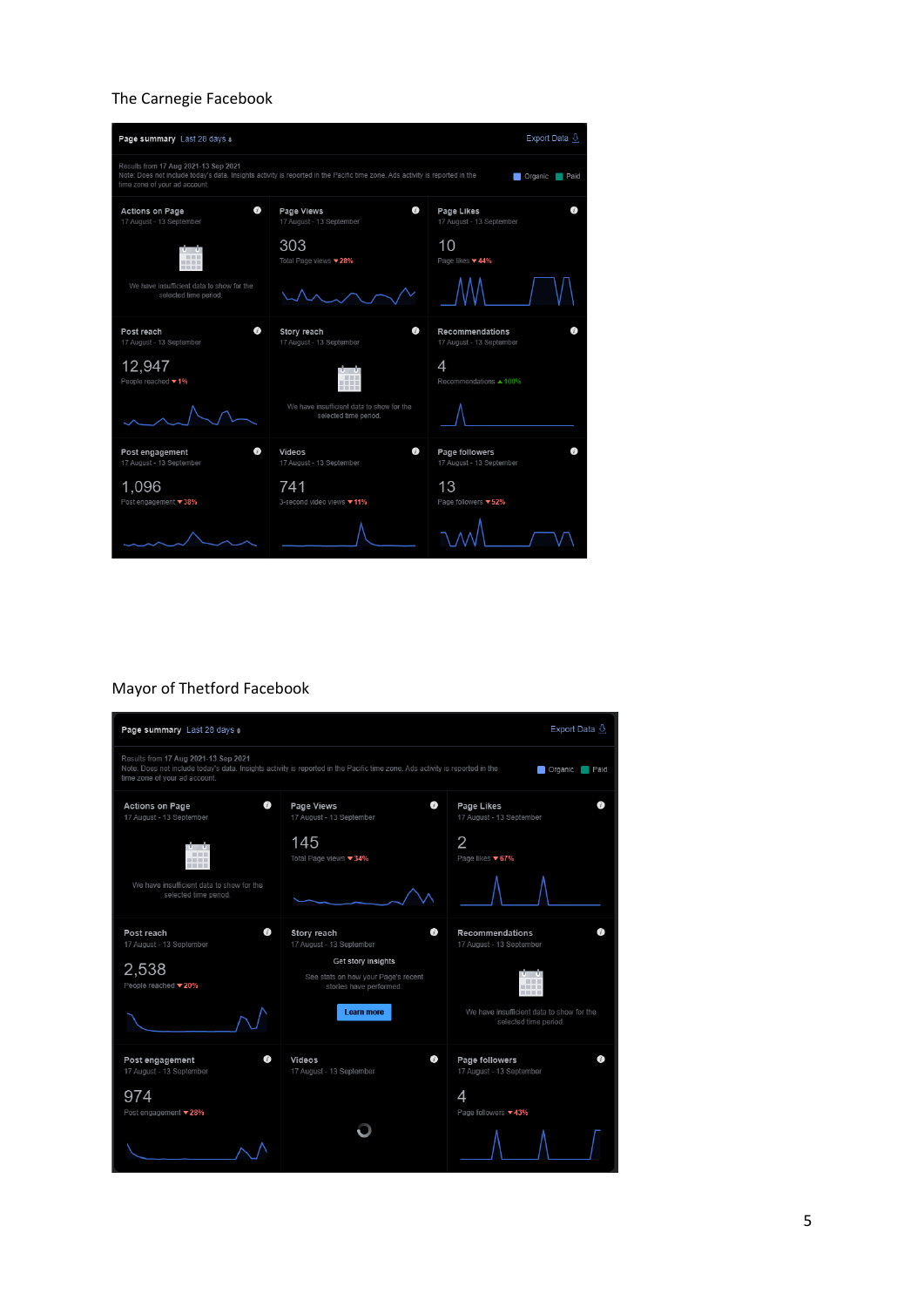## The Carnegie Facebook



## Mayor of Thetford Facebook

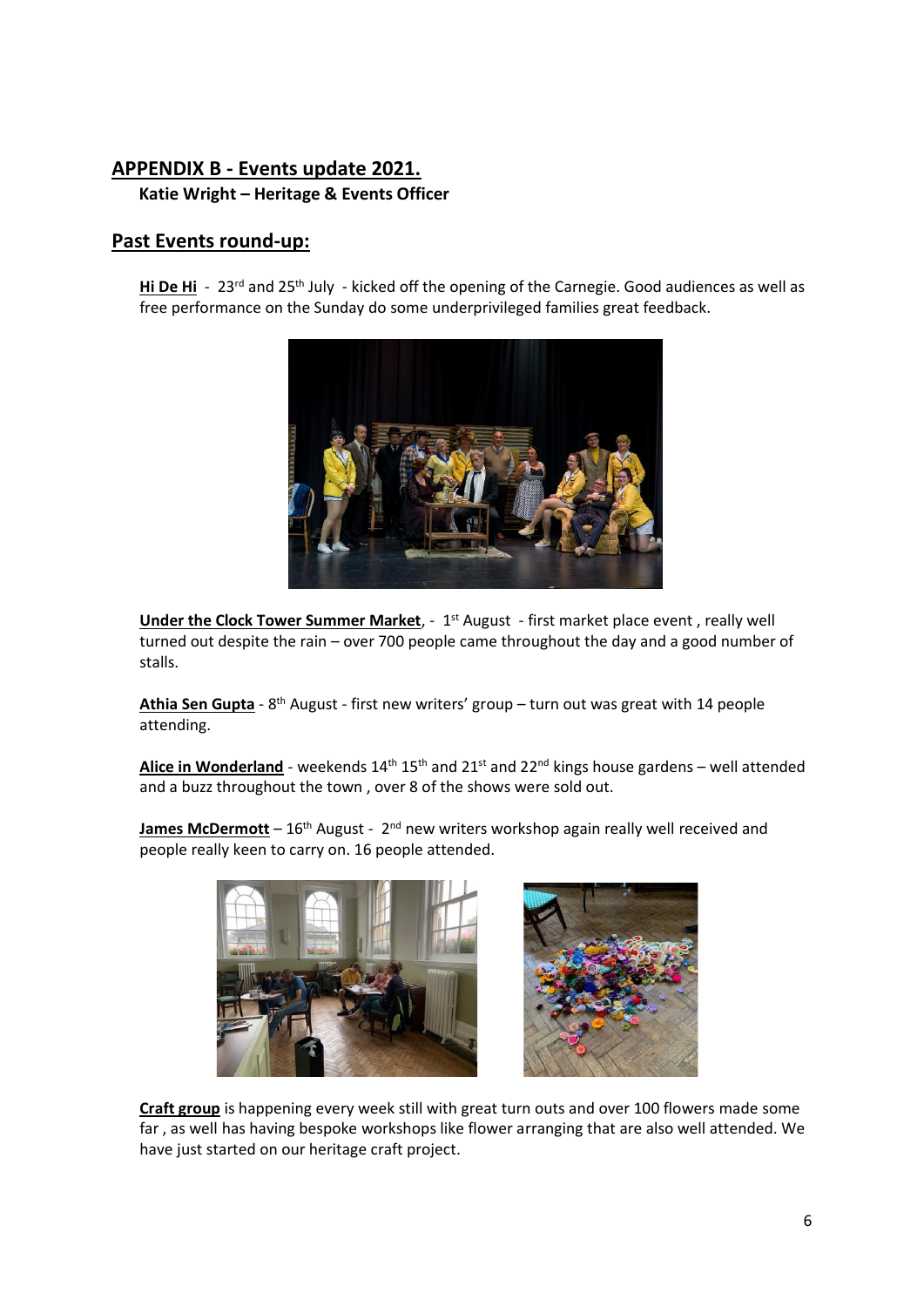## **APPENDIX B - Events update 2021.**

**Katie Wright – Heritage & Events Officer**

## **Past Events round-up:**

Hi De Hi - 23<sup>rd</sup> and 25<sup>th</sup> July - kicked off the opening of the Carnegie. Good audiences as well as free performance on the Sunday do some underprivileged families great feedback.



**Under the Clock Tower Summer Market**, - 1<sup>st</sup> August - first market place event, really well turned out despite the rain – over 700 people came throughout the day and a good number of stalls.

**Athia Sen Gupta** - 8<sup>th</sup> August - first new writers' group – turn out was great with 14 people attending.

**Alice in Wonderland** - weekends  $14<sup>th</sup> 15<sup>th</sup>$  and  $21<sup>st</sup>$  and  $22<sup>nd</sup>$  kings house gardens – well attended and a buzz throughout the town , over 8 of the shows were sold out.

**James McDermott** – 16<sup>th</sup> August - 2<sup>nd</sup> new writers workshop again really well received and people really keen to carry on. 16 people attended.



**Craft group** is happening every week still with great turn outs and over 100 flowers made some far , as well has having bespoke workshops like flower arranging that are also well attended. We have just started on our heritage craft project.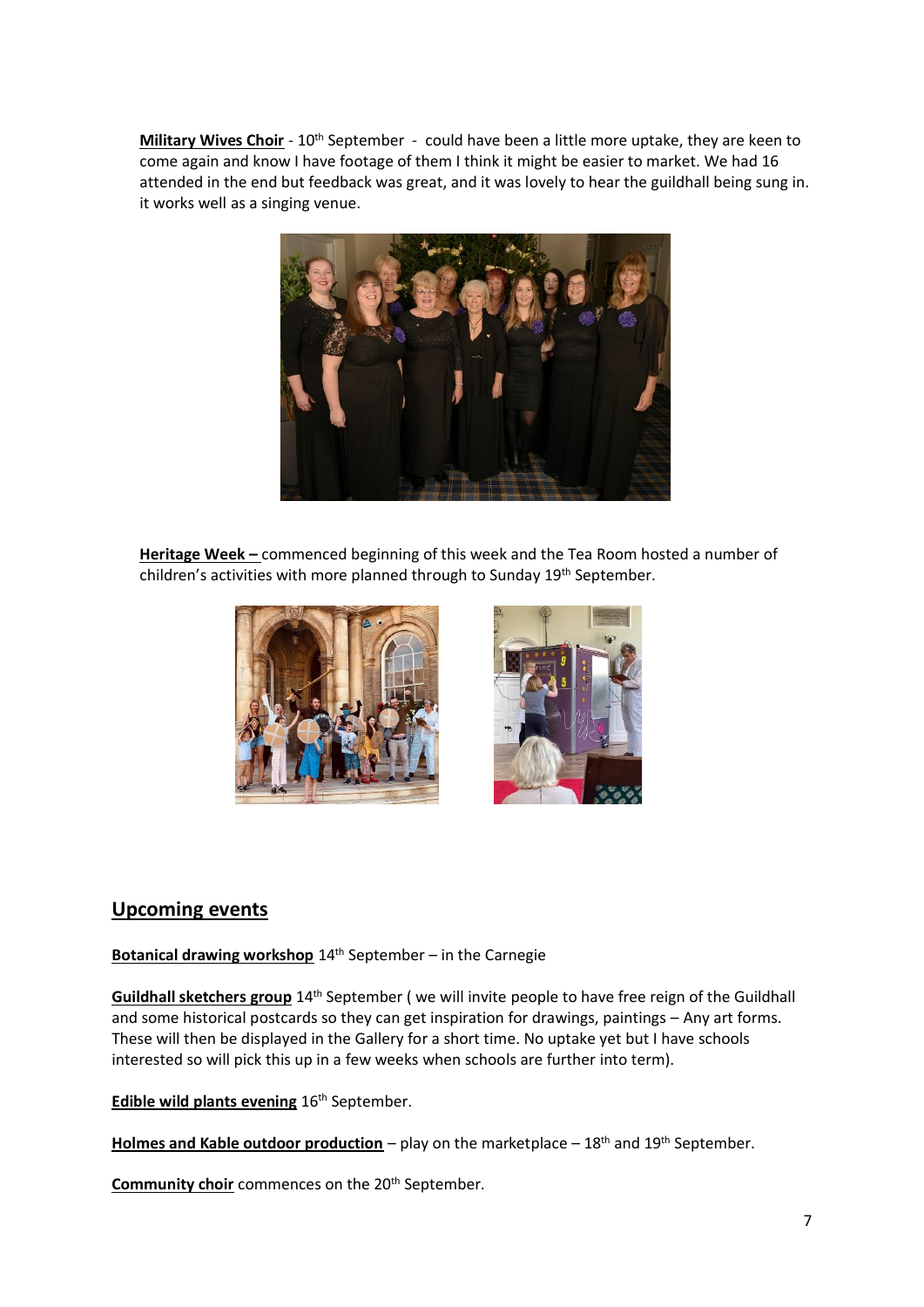Military Wives Choir - 10<sup>th</sup> September - could have been a little more uptake, they are keen to come again and know I have footage of them I think it might be easier to market. We had 16 attended in the end but feedback was great, and it was lovely to hear the guildhall being sung in. it works well as a singing venue.



**Heritage Week –** commenced beginning of this week and the Tea Room hosted a number of children's activities with more planned through to Sunday 19<sup>th</sup> September.



# **Upcoming events**

**Botanical drawing workshop** 14<sup>th</sup> September – in the Carnegie

**Guildhall sketchers group** 14th September ( we will invite people to have free reign of the Guildhall and some historical postcards so they can get inspiration for drawings, paintings – Any art forms. These will then be displayed in the Gallery for a short time. No uptake yet but I have schools interested so will pick this up in a few weeks when schools are further into term).

**Edible wild plants evening** 16<sup>th</sup> September.

**Holmes and Kable outdoor production** – play on the marketplace – 18<sup>th</sup> and 19<sup>th</sup> September.

**Community choir** commences on the 20<sup>th</sup> September.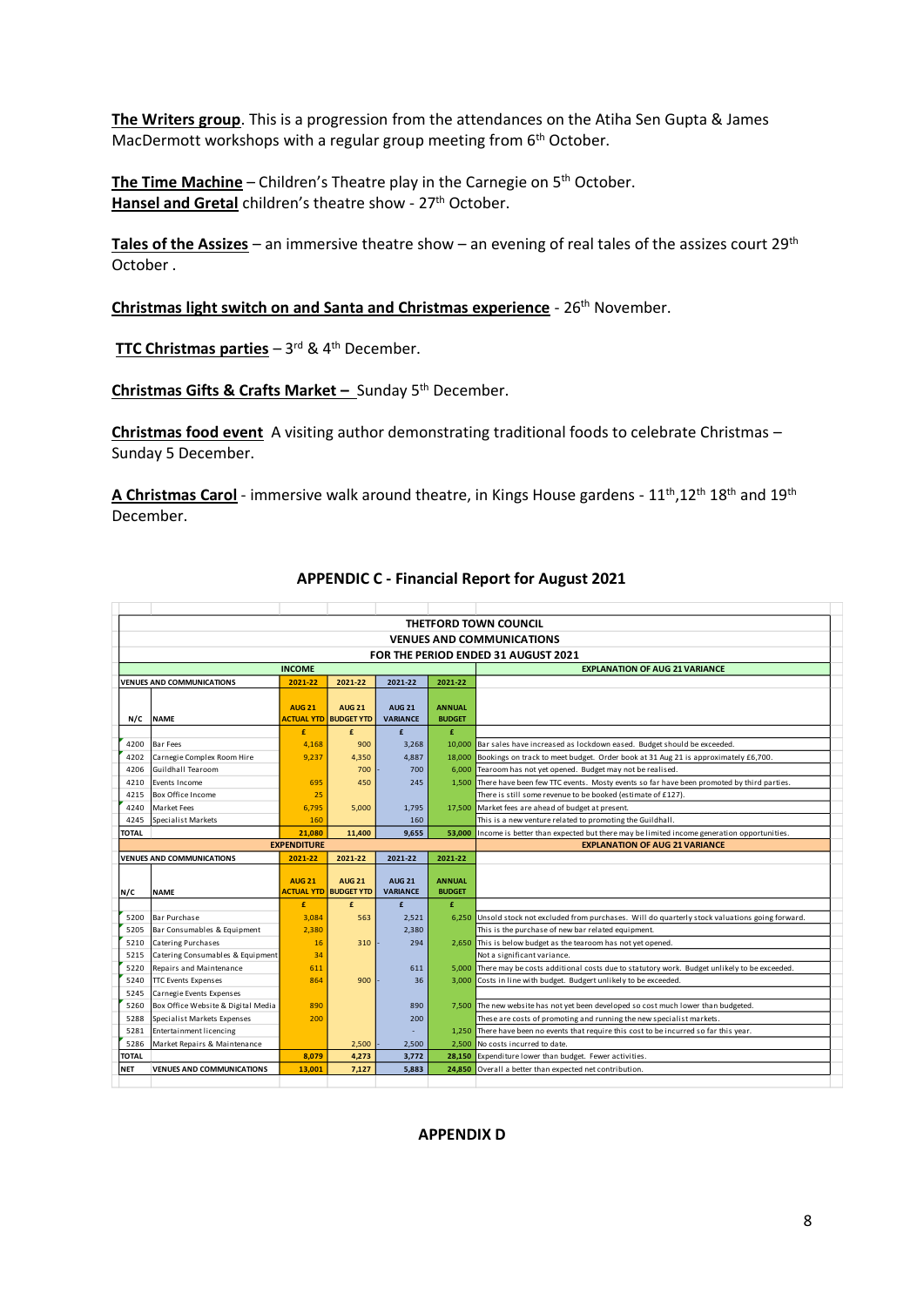**The Writers group**. This is a progression from the attendances on the Atiha Sen Gupta & James MacDermott workshops with a regular group meeting from 6<sup>th</sup> October.

**The Time Machine** – Children's Theatre play in the Carnegie on 5<sup>th</sup> October. Hansel and Gretal children's theatre show - 27<sup>th</sup> October.

**Tales of the Assizes** – an immersive theatre show – an evening of real tales of the assizes court 29th October .

**Christmas light switch on and Santa and Christmas experience** - 26<sup>th</sup> November.

**TTC Christmas parties** – 3<sup>rd</sup> & 4<sup>th</sup> December.

**Christmas Gifts & Crafts Market –** Sunday 5th December.

**Christmas food event** A visiting author demonstrating traditional foods to celebrate Christmas – Sunday 5 December.

**A Christmas Carol** - immersive walk around theatre, in Kings House gardens - 11th,12th 18th and 19th December.

|                    |               | <b>THETFORD TOWN COUNCIL</b>        |                                  |                                               |                                  |                                       |                                                                                                   |  |  |
|--------------------|---------------|-------------------------------------|----------------------------------|-----------------------------------------------|----------------------------------|---------------------------------------|---------------------------------------------------------------------------------------------------|--|--|
|                    |               |                                     | <b>VENUES AND COMMUNICATIONS</b> |                                               |                                  |                                       |                                                                                                   |  |  |
|                    |               | FOR THE PERIOD ENDED 31 AUGUST 2021 |                                  |                                               |                                  |                                       |                                                                                                   |  |  |
|                    | <b>INCOME</b> |                                     |                                  |                                               |                                  | <b>EXPLANATION OF AUG 21 VARIANCE</b> |                                                                                                   |  |  |
|                    |               | <b>VENUES AND COMMUNICATIONS</b>    | 2021-22                          | 2021-22                                       | 2021-22                          | 2021-22                               |                                                                                                   |  |  |
|                    | N/C           | <b>NAME</b>                         | <b>AUG 21</b>                    | <b>AUG 21</b><br><b>ACTUAL YTD BUDGET YTD</b> | <b>AUG 21</b><br><b>VARIANCE</b> | <b>ANNUAL</b><br><b>BUDGET</b>        |                                                                                                   |  |  |
|                    |               |                                     | £                                | £                                             | £                                | £.                                    |                                                                                                   |  |  |
|                    | 4200          | <b>Bar Fees</b>                     | 4,168                            | 900                                           | 3,268                            |                                       | 10,000 Bar sales have increased as lockdown eased. Budget should be exceeded.                     |  |  |
|                    | 4202          | Carnegie Complex Room Hire          | 9,237                            | 4,350                                         | 4.887                            |                                       | 18,000 Bookings on track to meet budget. Order book at 31 Aug 21 is approximately £6,700.         |  |  |
|                    | 4206          | Guildhall Tearoom                   |                                  | 700                                           | 700                              | 6.000                                 | Tearoom has not yet opened. Budget may not be realised.                                           |  |  |
|                    | 4210          | Events Income                       | 695                              | 450                                           | 245                              | 1.500                                 | There have been few TTC events. Mosty events so far have been promoted by third parties.          |  |  |
|                    | 4215          | Box Office Income                   | 25                               |                                               |                                  |                                       | There is still some revenue to be booked (estimate of £127).                                      |  |  |
|                    | 4240          | Market Fees                         | 6,795                            | 5,000                                         | 1,795                            |                                       | 17,500 Market fees are ahead of budget at present.                                                |  |  |
|                    | 4245          | Specialist Markets                  | 160                              |                                               | 160                              |                                       | This is a new venture related to promoting the Guildhall.                                         |  |  |
|                    | <b>TOTAL</b>  |                                     | 21,080                           | 11.400                                        | 9.655                            |                                       | 53,000 Income is better than expected but there may be limited income generation opportunities.   |  |  |
| <b>EXPENDITURE</b> |               |                                     |                                  | <b>EXPLANATION OF AUG 21 VARIANCE</b>         |                                  |                                       |                                                                                                   |  |  |
|                    |               | <b>VENUES AND COMMUNICATIONS</b>    | 2021-22                          | 2021-22                                       | 2021-22                          | 2021-22                               |                                                                                                   |  |  |
|                    | N/C           | <b>NAME</b>                         | <b>AUG 21</b>                    | <b>AUG 21</b><br><b>ACTUAL YTD BUDGET YTD</b> | <b>AUG 21</b><br><b>VARIANCE</b> | <b>ANNUAL</b><br><b>BUDGET</b>        |                                                                                                   |  |  |
|                    |               |                                     | £                                | £                                             | $\mathbf{f}$                     | £                                     |                                                                                                   |  |  |
|                    | 5200          | <b>Bar Purchase</b>                 | 3.084                            | 563                                           | 2.521                            |                                       | 6,250 Unsold stock not excluded from purchases. Will do quarterly stock valuations going forward. |  |  |
|                    | 5205          | Bar Consumables & Equipment         | 2,380                            |                                               | 2.380                            |                                       | This is the purchase of new bar related equipment.                                                |  |  |
|                    | 5210          | <b>Catering Purchases</b>           | 16                               | 310                                           | 294                              |                                       | 2,650 This is below budget as the tearoom has not yet opened.                                     |  |  |
|                    | 5215          | Catering Consumables & Equipment    | 34                               |                                               |                                  |                                       | Not a significant variance.                                                                       |  |  |
|                    | 5220          | Repairs and Maintenance             | 611                              |                                               | 611                              |                                       | 5,000 There may be costs additional costs due to statutory work. Budget unlikely to be exceeded.  |  |  |
|                    | 5240          | <b>TTC Events Expenses</b>          | 864                              | 900                                           | 36                               |                                       | 3,000 Costs in line with budget. Budgert unlikely to be exceeded.                                 |  |  |
|                    | 5245          | Carnegie Events Expenses            |                                  |                                               |                                  |                                       |                                                                                                   |  |  |
|                    | 5260          | Box Office Website & Digital Media  | 890                              |                                               | 890                              |                                       | 7,500 The new website has not yet been developed so cost much lower than budgeted.                |  |  |
|                    | 5288          | Specialist Markets Expenses         | 200                              |                                               | 200                              |                                       | These are costs of promoting and running the new specialist markets.                              |  |  |
|                    | 5281          | Entertainment licencing             |                                  |                                               |                                  |                                       | 1,250 There have been no events that require this cost to be incurred so far this year.           |  |  |
|                    | 5286          | Market Repairs & Maintenance        |                                  | 2,500                                         | 2,500                            | 2.500                                 | No costs incurred to date.                                                                        |  |  |
|                    | <b>TOTAL</b>  |                                     | 8,079                            | 4,273                                         | 3,772                            |                                       | 28,150 Expenditure lower than budget. Fewer activities.                                           |  |  |
|                    | <b>NET</b>    | <b>VENUES AND COMMUNICATIONS</b>    | 13.001                           | 7,127                                         | 5,883                            |                                       | 24,850 Overall a better than expected net contribution.                                           |  |  |
|                    |               |                                     |                                  |                                               |                                  |                                       |                                                                                                   |  |  |

#### **APPENDIC C - Financial Report for August 2021**

**APPENDIX D**